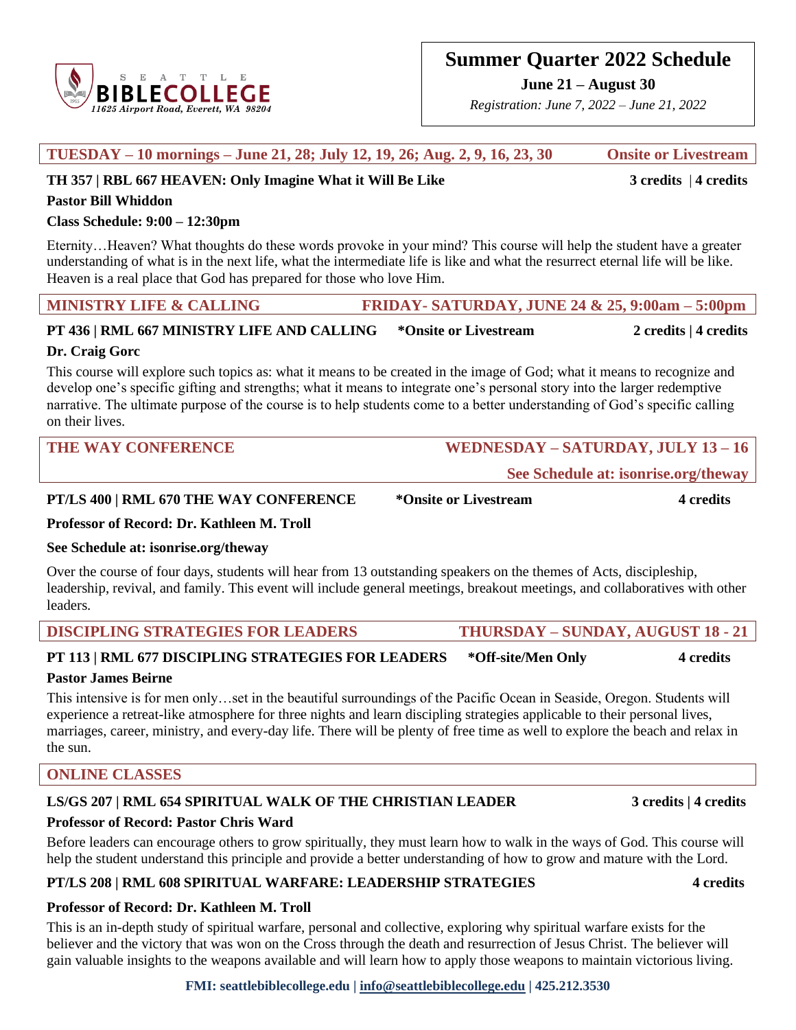

**June 21 – August 30**

*Registration: June 7, 2022 – June 21, 2022*

| TH 357   RBL 667 HEAVEN: Only Imagine What it Will Be Like                                                                                                                                                                                                                                                                                                                                            |                                                   | $3$ credits $ 4$ credits    |
|-------------------------------------------------------------------------------------------------------------------------------------------------------------------------------------------------------------------------------------------------------------------------------------------------------------------------------------------------------------------------------------------------------|---------------------------------------------------|-----------------------------|
| <b>Pastor Bill Whiddon</b>                                                                                                                                                                                                                                                                                                                                                                            |                                                   |                             |
| Class Schedule: $9:00 - 12:30$ pm                                                                                                                                                                                                                                                                                                                                                                     |                                                   |                             |
| EternityHeaven? What thoughts do these words provoke in your mind? This course will help the student have a greater<br>understanding of what is in the next life, what the intermediate life is like and what the resurrect eternal life will be like.<br>Heaven is a real place that God has prepared for those who love Him.                                                                        |                                                   |                             |
| <b>MINISTRY LIFE &amp; CALLING</b>                                                                                                                                                                                                                                                                                                                                                                    | FRIDAY- SATURDAY, JUNE 24 & 25, 9:00am $-$ 5:00pm |                             |
| PT 436   RML 667 MINISTRY LIFE AND CALLING                                                                                                                                                                                                                                                                                                                                                            | *Onsite or Livestream                             | 2 credits $\vert$ 4 credits |
| Dr. Craig Gorc                                                                                                                                                                                                                                                                                                                                                                                        |                                                   |                             |
| This course will explore such topics as: what it means to be created in the image of God; what it means to recognize and<br>develop one's specific gifting and strengths; what it means to integrate one's personal story into the larger redemptive<br>narrative. The ultimate purpose of the course is to help students come to a better understanding of God's specific calling<br>on their lives. |                                                   |                             |
| <b>THE WAY CONFERENCE</b>                                                                                                                                                                                                                                                                                                                                                                             | WEDNESDAY - SATURDAY, JULY 13 - 16                |                             |
| See Schedule at: isonrise.org/theway                                                                                                                                                                                                                                                                                                                                                                  |                                                   |                             |
| PT/LS 400   RML 670 THE WAY CONFERENCE                                                                                                                                                                                                                                                                                                                                                                | *Onsite or Livestream                             | 4 credits                   |
| Professor of Record: Dr. Kathleen M. Troll                                                                                                                                                                                                                                                                                                                                                            |                                                   |                             |
| See Schedule at: isonrise.org/theway                                                                                                                                                                                                                                                                                                                                                                  |                                                   |                             |
| Over the course of four days, students will hear from 13 outstanding speakers on the themes of Acts, discipleship,<br>leadership, revival, and family. This event will include general meetings, breakout meetings, and collaboratives with other                                                                                                                                                     |                                                   |                             |

**TUESDAY – 10 mornings – June 21, 28; July 12, 19, 26; Aug. 2, 9, 16, 23, 30 Onsite or Livestream**

**DISCIPLING STRATEGIES FOR LEADERS THURSDAY – SUNDAY, AUGUST 18 - 21**

# **PT 113 | RML 677 DISCIPLING STRATEGIES FOR LEADERS \*Off-site/Men Only 4 credits**

### **Pastor James Beirne**

This intensive is for men only…set in the beautiful surroundings of the Pacific Ocean in Seaside, Oregon. Students will experience a retreat-like atmosphere for three nights and learn discipling strategies applicable to their personal lives, marriages, career, ministry, and every-day life. There will be plenty of free time as well to explore the beach and relax in the sun.

## **ONLINE CLASSES**

### **LS/GS 207 | RML 654 SPIRITUAL WALK OF THE CHRISTIAN LEADER 3 credits | 4 credits**

### **Professor of Record: Pastor Chris Ward**

Before leaders can encourage others to grow spiritually, they must learn how to walk in the ways of God. This course will help the student understand this principle and provide a better understanding of how to grow and mature with the Lord.

### **PT/LS 208 | RML 608 SPIRITUAL WARFARE: LEADERSHIP STRATEGIES 4 credits**

### **Professor of Record: Dr. Kathleen M. Troll**

This is an in-depth study of spiritual warfare, personal and collective, exploring why spiritual warfare exists for the believer and the victory that was won on the Cross through the death and resurrection of Jesus Christ. The believer will gain valuable insights to the weapons available and will learn how to apply those weapons to maintain victorious living.

## **FMI: seattlebiblecollege.edu | [info@seattlebiblecollege.edu](mailto:info@seattlebiblecollege.edu) | 425.212.3530**